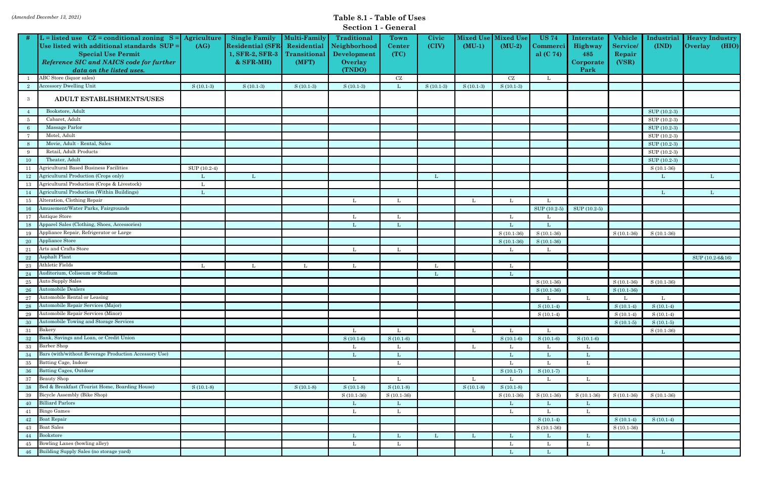|  |  | <b>Section 1 - General</b> |
|--|--|----------------------------|
|--|--|----------------------------|

| $L =$ listed use $CZ =$ conditional zoning $S =$ Agriculture<br>Mixed Use<br><b>Single Family</b><br><b>Multi-Family</b><br><b>Traditional</b><br>Civic<br><b>Mixed Use</b><br><b>US 74</b><br>Vehicle<br><b>Town</b><br>Industrial<br><b>Heavy Industry</b><br>Interstate<br>(CIV)<br><b>Residential (SFR</b><br>Residential<br>Neighborhood<br>$(MU-1)$<br>$(MU-2)$<br><b>Service</b><br>(IND)<br><b>Overlay</b><br>(HIO)<br>Use listed with additional standards SUP =<br>(AG)<br>Highway<br>Center<br>Commerci  <br>1, SFR-2, SFR-3<br>(TC)<br><b>Special Use Permit</b><br>Transitional<br>Development<br>al $(C 74)$<br>485<br>Repair<br>$&$ SFR-MH $)$<br>(VSR)<br>Reference SIC and NAICS code for further<br>(MFT)<br>Overlay<br>Corporate<br>(TNDO)<br>Park<br>data on the listed uses.<br>ABC Store (liquor sales)<br>$\operatorname{CZ}$<br>CZ<br><b>Accessory Dwelling Unit</b><br>$S(10.1-3)$<br>$S(10.1-3)$<br>$S(10.1-3)$<br>$S(10.1-3)$<br>$S(10.1-3)$<br>$S(10.1-3)$<br>$S(10.1-3)$<br>$\mathbf{2}$<br>L<br>ADULT ESTABLISHMENTS/USES<br>3<br>Bookstore, Adult<br>SUP (10.2-3)<br>Cabaret, Adult<br>SUP (10.2-3)<br>5<br>Massage Parlor<br>SUP (10.2-3)<br>-6<br>Motel, Adult<br>SUP (10.2-3)<br>-7<br>Movie, Adult - Rental, Sales<br>SUP (10.2-3)<br>8<br>Retail, Adult Products<br>SUP (10.2-3)<br>-9<br>Theater, Adult<br>SUP (10.2-3)<br>$10\,$<br><b>Agricultural Based Business Facilities</b><br>SUP (10.2-4)<br>$S(10.1-36)$<br>-11<br>Agricultural Production (Crops only) |
|--------------------------------------------------------------------------------------------------------------------------------------------------------------------------------------------------------------------------------------------------------------------------------------------------------------------------------------------------------------------------------------------------------------------------------------------------------------------------------------------------------------------------------------------------------------------------------------------------------------------------------------------------------------------------------------------------------------------------------------------------------------------------------------------------------------------------------------------------------------------------------------------------------------------------------------------------------------------------------------------------------------------------------------------------------------------------------------------------------------------------------------------------------------------------------------------------------------------------------------------------------------------------------------------------------------------------------------------------------------------------------------------------------------------------------------------------------------------------------------------------------|
|                                                                                                                                                                                                                                                                                                                                                                                                                                                                                                                                                                                                                                                                                                                                                                                                                                                                                                                                                                                                                                                                                                                                                                                                                                                                                                                                                                                                                                                                                                        |
|                                                                                                                                                                                                                                                                                                                                                                                                                                                                                                                                                                                                                                                                                                                                                                                                                                                                                                                                                                                                                                                                                                                                                                                                                                                                                                                                                                                                                                                                                                        |
|                                                                                                                                                                                                                                                                                                                                                                                                                                                                                                                                                                                                                                                                                                                                                                                                                                                                                                                                                                                                                                                                                                                                                                                                                                                                                                                                                                                                                                                                                                        |
|                                                                                                                                                                                                                                                                                                                                                                                                                                                                                                                                                                                                                                                                                                                                                                                                                                                                                                                                                                                                                                                                                                                                                                                                                                                                                                                                                                                                                                                                                                        |
|                                                                                                                                                                                                                                                                                                                                                                                                                                                                                                                                                                                                                                                                                                                                                                                                                                                                                                                                                                                                                                                                                                                                                                                                                                                                                                                                                                                                                                                                                                        |
|                                                                                                                                                                                                                                                                                                                                                                                                                                                                                                                                                                                                                                                                                                                                                                                                                                                                                                                                                                                                                                                                                                                                                                                                                                                                                                                                                                                                                                                                                                        |
|                                                                                                                                                                                                                                                                                                                                                                                                                                                                                                                                                                                                                                                                                                                                                                                                                                                                                                                                                                                                                                                                                                                                                                                                                                                                                                                                                                                                                                                                                                        |
|                                                                                                                                                                                                                                                                                                                                                                                                                                                                                                                                                                                                                                                                                                                                                                                                                                                                                                                                                                                                                                                                                                                                                                                                                                                                                                                                                                                                                                                                                                        |
|                                                                                                                                                                                                                                                                                                                                                                                                                                                                                                                                                                                                                                                                                                                                                                                                                                                                                                                                                                                                                                                                                                                                                                                                                                                                                                                                                                                                                                                                                                        |
|                                                                                                                                                                                                                                                                                                                                                                                                                                                                                                                                                                                                                                                                                                                                                                                                                                                                                                                                                                                                                                                                                                                                                                                                                                                                                                                                                                                                                                                                                                        |
|                                                                                                                                                                                                                                                                                                                                                                                                                                                                                                                                                                                                                                                                                                                                                                                                                                                                                                                                                                                                                                                                                                                                                                                                                                                                                                                                                                                                                                                                                                        |
|                                                                                                                                                                                                                                                                                                                                                                                                                                                                                                                                                                                                                                                                                                                                                                                                                                                                                                                                                                                                                                                                                                                                                                                                                                                                                                                                                                                                                                                                                                        |
|                                                                                                                                                                                                                                                                                                                                                                                                                                                                                                                                                                                                                                                                                                                                                                                                                                                                                                                                                                                                                                                                                                                                                                                                                                                                                                                                                                                                                                                                                                        |
|                                                                                                                                                                                                                                                                                                                                                                                                                                                                                                                                                                                                                                                                                                                                                                                                                                                                                                                                                                                                                                                                                                                                                                                                                                                                                                                                                                                                                                                                                                        |
|                                                                                                                                                                                                                                                                                                                                                                                                                                                                                                                                                                                                                                                                                                                                                                                                                                                                                                                                                                                                                                                                                                                                                                                                                                                                                                                                                                                                                                                                                                        |
|                                                                                                                                                                                                                                                                                                                                                                                                                                                                                                                                                                                                                                                                                                                                                                                                                                                                                                                                                                                                                                                                                                                                                                                                                                                                                                                                                                                                                                                                                                        |
| L<br>12<br>L<br>L<br>VL.                                                                                                                                                                                                                                                                                                                                                                                                                                                                                                                                                                                                                                                                                                                                                                                                                                                                                                                                                                                                                                                                                                                                                                                                                                                                                                                                                                                                                                                                               |
| Agricultural Production (Crops & Livestock)<br>13<br>L                                                                                                                                                                                                                                                                                                                                                                                                                                                                                                                                                                                                                                                                                                                                                                                                                                                                                                                                                                                                                                                                                                                                                                                                                                                                                                                                                                                                                                                 |
| Agricultural Production (Within Buildings)<br>14<br>L<br>L<br>L                                                                                                                                                                                                                                                                                                                                                                                                                                                                                                                                                                                                                                                                                                                                                                                                                                                                                                                                                                                                                                                                                                                                                                                                                                                                                                                                                                                                                                        |
| Alteration, Clothing Repair<br>15<br>L<br>L                                                                                                                                                                                                                                                                                                                                                                                                                                                                                                                                                                                                                                                                                                                                                                                                                                                                                                                                                                                                                                                                                                                                                                                                                                                                                                                                                                                                                                                            |
| Amusement/Water Parks, Fairgrounds<br>$SUP (10.2-5)$<br>SUP (10.2-5)<br>- 16                                                                                                                                                                                                                                                                                                                                                                                                                                                                                                                                                                                                                                                                                                                                                                                                                                                                                                                                                                                                                                                                                                                                                                                                                                                                                                                                                                                                                           |
| Antique Store<br>17<br>L<br>- L                                                                                                                                                                                                                                                                                                                                                                                                                                                                                                                                                                                                                                                                                                                                                                                                                                                                                                                                                                                                                                                                                                                                                                                                                                                                                                                                                                                                                                                                        |
| Apparel Sales (Clothing, Shoes, Accessories)<br>-18<br>L                                                                                                                                                                                                                                                                                                                                                                                                                                                                                                                                                                                                                                                                                                                                                                                                                                                                                                                                                                                                                                                                                                                                                                                                                                                                                                                                                                                                                                               |
| Appliance Repair, Refrigerator or Large<br>$S(10.1-36)$<br>$S(10.1-36)$<br>19<br>$S(10.1-36)$<br>$S(10.1-36)$                                                                                                                                                                                                                                                                                                                                                                                                                                                                                                                                                                                                                                                                                                                                                                                                                                                                                                                                                                                                                                                                                                                                                                                                                                                                                                                                                                                          |
| <b>Appliance Store</b><br>$S(10.1-36)$<br>20<br>$S(10.1-36)$                                                                                                                                                                                                                                                                                                                                                                                                                                                                                                                                                                                                                                                                                                                                                                                                                                                                                                                                                                                                                                                                                                                                                                                                                                                                                                                                                                                                                                           |
| Arts and Crafts Store<br>21<br>- L<br>L                                                                                                                                                                                                                                                                                                                                                                                                                                                                                                                                                                                                                                                                                                                                                                                                                                                                                                                                                                                                                                                                                                                                                                                                                                                                                                                                                                                                                                                                |
| Asphalt Plant<br>$22\,$<br>SUP (10.2-6&16)                                                                                                                                                                                                                                                                                                                                                                                                                                                                                                                                                                                                                                                                                                                                                                                                                                                                                                                                                                                                                                                                                                                                                                                                                                                                                                                                                                                                                                                             |
| Athletic Fields<br>23<br>L<br>L<br>-L<br>L<br>L                                                                                                                                                                                                                                                                                                                                                                                                                                                                                                                                                                                                                                                                                                                                                                                                                                                                                                                                                                                                                                                                                                                                                                                                                                                                                                                                                                                                                                                        |
| Auditorium, Coliseum or Stadium<br>24<br>L                                                                                                                                                                                                                                                                                                                                                                                                                                                                                                                                                                                                                                                                                                                                                                                                                                                                                                                                                                                                                                                                                                                                                                                                                                                                                                                                                                                                                                                             |
| <b>Auto Supply Sales</b><br>25<br>$S(10.1-36)$<br>$S(10.1-36)$<br>$S(10.1-36)$                                                                                                                                                                                                                                                                                                                                                                                                                                                                                                                                                                                                                                                                                                                                                                                                                                                                                                                                                                                                                                                                                                                                                                                                                                                                                                                                                                                                                         |
| <b>Automobile Dealers</b><br>26<br>$S(10.1-36)$<br>$S(10.1-36)$                                                                                                                                                                                                                                                                                                                                                                                                                                                                                                                                                                                                                                                                                                                                                                                                                                                                                                                                                                                                                                                                                                                                                                                                                                                                                                                                                                                                                                        |
| 27 Automobile Rental or Leasing<br>L                                                                                                                                                                                                                                                                                                                                                                                                                                                                                                                                                                                                                                                                                                                                                                                                                                                                                                                                                                                                                                                                                                                                                                                                                                                                                                                                                                                                                                                                   |
| F<br>28 Automobile Repair Services (Major)<br>$S(10.1-4)$ $S(10.1-4)$<br>$S(10.1-4)$                                                                                                                                                                                                                                                                                                                                                                                                                                                                                                                                                                                                                                                                                                                                                                                                                                                                                                                                                                                                                                                                                                                                                                                                                                                                                                                                                                                                                   |
| Automobile Repair Services (Minor)<br>29<br>$S(10.1-4)$<br>$S(10.1-4)$<br>$S(10.1-4)$                                                                                                                                                                                                                                                                                                                                                                                                                                                                                                                                                                                                                                                                                                                                                                                                                                                                                                                                                                                                                                                                                                                                                                                                                                                                                                                                                                                                                  |
| Automobile Towing and Storage Services<br>$30\,$<br>$S(10.1-5)$<br>$S(10.1-5)$                                                                                                                                                                                                                                                                                                                                                                                                                                                                                                                                                                                                                                                                                                                                                                                                                                                                                                                                                                                                                                                                                                                                                                                                                                                                                                                                                                                                                         |
| 31 Bakery<br>L<br>$S(10.1-36)$<br>L<br>L<br>L                                                                                                                                                                                                                                                                                                                                                                                                                                                                                                                                                                                                                                                                                                                                                                                                                                                                                                                                                                                                                                                                                                                                                                                                                                                                                                                                                                                                                                                          |
| Bank, Savings and Loan, or Credit Union<br>$S(10.1-6)$<br>32<br>$S(10.1-6)$<br>$S(10.1-6)$<br>$S(10.1-6)$<br>$S(10.1-6)$                                                                                                                                                                                                                                                                                                                                                                                                                                                                                                                                                                                                                                                                                                                                                                                                                                                                                                                                                                                                                                                                                                                                                                                                                                                                                                                                                                               |
| 33 Barber Shop<br>-L<br>L<br>L                                                                                                                                                                                                                                                                                                                                                                                                                                                                                                                                                                                                                                                                                                                                                                                                                                                                                                                                                                                                                                                                                                                                                                                                                                                                                                                                                                                                                                                                         |
| Bars (with/without Beverage Production Accessory Use)<br>34<br>L<br>L                                                                                                                                                                                                                                                                                                                                                                                                                                                                                                                                                                                                                                                                                                                                                                                                                                                                                                                                                                                                                                                                                                                                                                                                                                                                                                                                                                                                                                  |
| Batting Cage, Indoor<br>35<br>L<br>L                                                                                                                                                                                                                                                                                                                                                                                                                                                                                                                                                                                                                                                                                                                                                                                                                                                                                                                                                                                                                                                                                                                                                                                                                                                                                                                                                                                                                                                                   |
| Batting Cages, Outdoor<br>-36<br>$S(10.1-7)$<br>$S(10.1-7)$                                                                                                                                                                                                                                                                                                                                                                                                                                                                                                                                                                                                                                                                                                                                                                                                                                                                                                                                                                                                                                                                                                                                                                                                                                                                                                                                                                                                                                            |
| Beauty Shop<br>37<br>L<br>L<br>$\mathbf{L}$                                                                                                                                                                                                                                                                                                                                                                                                                                                                                                                                                                                                                                                                                                                                                                                                                                                                                                                                                                                                                                                                                                                                                                                                                                                                                                                                                                                                                                                            |
| Bed & Breakfast (Tourist Home, Boarding House)<br>38<br>$S(10.1-8)$<br>$S(10.1-8)$<br>$S(10.1-8)$<br>$S(10.1-8)$<br>$S(10.1-8)$<br>$S(10.1-8)$                                                                                                                                                                                                                                                                                                                                                                                                                                                                                                                                                                                                                                                                                                                                                                                                                                                                                                                                                                                                                                                                                                                                                                                                                                                                                                                                                         |
| Bicycle Assembly (Bike Shop)<br>39<br>$S(10.1-36)$<br>$S(10.1-36)$<br>$S(10.1-36)$<br>$S(10.1-36)$<br>$S(10.1-36)$<br>$S(10.1-36)$<br>$S(10.1-36)$                                                                                                                                                                                                                                                                                                                                                                                                                                                                                                                                                                                                                                                                                                                                                                                                                                                                                                                                                                                                                                                                                                                                                                                                                                                                                                                                                     |
| <b>Billiard Parlors</b><br>40<br>L.<br>L<br>L<br>L                                                                                                                                                                                                                                                                                                                                                                                                                                                                                                                                                                                                                                                                                                                                                                                                                                                                                                                                                                                                                                                                                                                                                                                                                                                                                                                                                                                                                                                     |
| <b>Bingo Games</b><br>41<br>-L<br>L                                                                                                                                                                                                                                                                                                                                                                                                                                                                                                                                                                                                                                                                                                                                                                                                                                                                                                                                                                                                                                                                                                                                                                                                                                                                                                                                                                                                                                                                    |
| <b>Boat Repair</b><br>42<br>$S(10.1-4)$<br>$S(10.1-4)$<br>$S(10.1-4)$                                                                                                                                                                                                                                                                                                                                                                                                                                                                                                                                                                                                                                                                                                                                                                                                                                                                                                                                                                                                                                                                                                                                                                                                                                                                                                                                                                                                                                  |
| <b>Boat Sales</b><br>43<br>$S(10.1-36)$<br>$S(10.1-36)$                                                                                                                                                                                                                                                                                                                                                                                                                                                                                                                                                                                                                                                                                                                                                                                                                                                                                                                                                                                                                                                                                                                                                                                                                                                                                                                                                                                                                                                |
| 44 Bookstore<br>L<br>L<br>L                                                                                                                                                                                                                                                                                                                                                                                                                                                                                                                                                                                                                                                                                                                                                                                                                                                                                                                                                                                                                                                                                                                                                                                                                                                                                                                                                                                                                                                                            |
| Bowling Lanes (bowling alley)<br>45<br>L                                                                                                                                                                                                                                                                                                                                                                                                                                                                                                                                                                                                                                                                                                                                                                                                                                                                                                                                                                                                                                                                                                                                                                                                                                                                                                                                                                                                                                                               |
| Building Supply Sales (no storage yard)<br>46                                                                                                                                                                                                                                                                                                                                                                                                                                                                                                                                                                                                                                                                                                                                                                                                                                                                                                                                                                                                                                                                                                                                                                                                                                                                                                                                                                                                                                                          |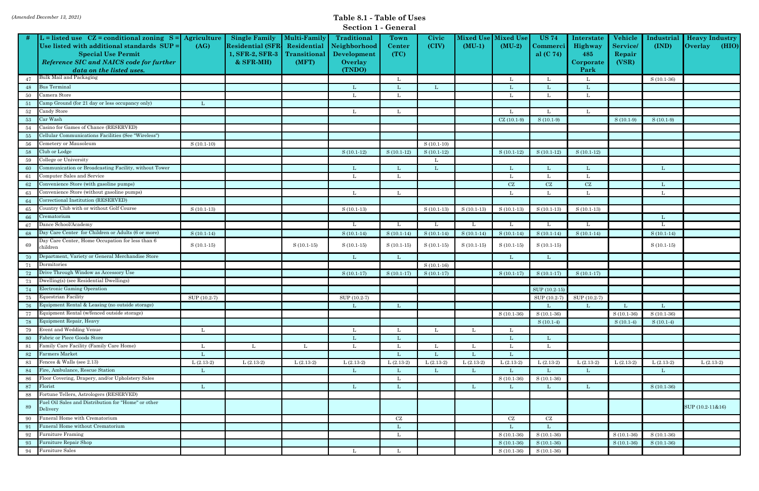|  | <b>Section 1 - General</b> |
|--|----------------------------|
|--|----------------------------|

|        |                                                                                                                                                                                                               |              |                                                                                      |                                                             | pecuoli 1 - general                                             |                        |                |                              |                      |                                         |                                                   |                                              |                     |                                                                 |
|--------|---------------------------------------------------------------------------------------------------------------------------------------------------------------------------------------------------------------|--------------|--------------------------------------------------------------------------------------|-------------------------------------------------------------|-----------------------------------------------------------------|------------------------|----------------|------------------------------|----------------------|-----------------------------------------|---------------------------------------------------|----------------------------------------------|---------------------|-----------------------------------------------------------------|
|        | L = listed use $CZ =$ conditional zoning $S =$ Agriculture<br>Use listed with additional standards SUP =<br><b>Special Use Permit</b><br>Reference SIC and NAICS code for further<br>data on the listed uses. | (AG)         | <b>Single Family</b><br><b>Residential (SFR</b><br>1, SFR-2, SFR-3<br>$&$ SFR-MH $)$ | <b>Multi-Family</b><br>Residential<br>Transitional<br>(MFT) | Traditional<br>Neighborhood<br>Development<br>Overlay<br>(TNDO) | Town<br>Center<br>(TC) | Civic<br>(CIV) | <b>Mixed Use</b><br>$(MU-1)$ | Mixed Us<br>$(MU-2)$ | <b>US 74</b><br>Commerci<br>al $(C 74)$ | Interstate<br>Highway<br>485<br>Corporate<br>Park | Vehicle<br><b>Service</b><br>Repair<br>(VSR) | Industrial<br>(IND) | <b>Heavy Industry</b><br>$\vert$ (HIO)<br>$\sqrt{\frac{1}{10}}$ |
| 47     | Bulk Mail and Packaging                                                                                                                                                                                       |              |                                                                                      |                                                             |                                                                 |                        |                |                              |                      |                                         |                                                   |                                              | $S(10.1-36)$        |                                                                 |
| 48     | <b>Bus</b> Terminal                                                                                                                                                                                           |              |                                                                                      |                                                             |                                                                 |                        |                |                              |                      |                                         |                                                   |                                              |                     |                                                                 |
| 50     | Camera Store                                                                                                                                                                                                  |              |                                                                                      |                                                             |                                                                 |                        |                |                              |                      |                                         | L                                                 |                                              |                     |                                                                 |
| -51    | Camp Ground (for 21 day or less occupancy only)                                                                                                                                                               | L            |                                                                                      |                                                             |                                                                 |                        |                |                              |                      |                                         |                                                   |                                              |                     |                                                                 |
| $52\,$ | Candy Store                                                                                                                                                                                                   |              |                                                                                      |                                                             | L                                                               | Ι.                     |                |                              |                      |                                         | L                                                 |                                              |                     |                                                                 |
| 53     | Car Wash                                                                                                                                                                                                      |              |                                                                                      |                                                             |                                                                 |                        |                |                              | $CZ(10.1-9)$         | $S(10.1-9)$                             |                                                   | $S(10.1-9)$                                  | $S(10.1-9)$         |                                                                 |
| 54     | Casino for Games of Chance (RESERVED)                                                                                                                                                                         |              |                                                                                      |                                                             |                                                                 |                        |                |                              |                      |                                         |                                                   |                                              |                     |                                                                 |
| 55     | Cellular Communications Facilities (See "Wireless")                                                                                                                                                           |              |                                                                                      |                                                             |                                                                 |                        |                |                              |                      |                                         |                                                   |                                              |                     |                                                                 |
| 56     | Cemetery or Mausoleum                                                                                                                                                                                         | $S(10.1-10)$ |                                                                                      |                                                             |                                                                 |                        | $S(10.1-10)$   |                              |                      |                                         |                                                   |                                              |                     |                                                                 |
| 58     | Club or Lodge                                                                                                                                                                                                 |              |                                                                                      |                                                             | $S(10.1-12)$                                                    | $S(10.1-12)$           | $S(10.1-12)$   |                              | $S(10.1-12)$         | $S(10.1-12)$                            | $S(10.1-12)$                                      |                                              |                     |                                                                 |
| 59     | College or University                                                                                                                                                                                         |              |                                                                                      |                                                             |                                                                 |                        |                |                              |                      |                                         |                                                   |                                              |                     |                                                                 |
| -60    | Communication or Broadcasting Facility, without Tower                                                                                                                                                         |              |                                                                                      |                                                             |                                                                 |                        |                |                              |                      |                                         |                                                   |                                              | -Т.                 |                                                                 |
| 61     | Computer Sales and Service                                                                                                                                                                                    |              |                                                                                      |                                                             |                                                                 |                        |                |                              |                      |                                         |                                                   |                                              |                     |                                                                 |
| 62     | Convenience Store (with gasoline pumps)                                                                                                                                                                       |              |                                                                                      |                                                             |                                                                 |                        |                |                              | CZ                   | CZ                                      | CZ                                                |                                              | L                   |                                                                 |
| 63     | Convenience Store (without gasoline pumps)                                                                                                                                                                    |              |                                                                                      |                                                             |                                                                 |                        |                |                              |                      |                                         | L                                                 |                                              | L                   |                                                                 |
| -64    | Correctional Institution (RESERVED)                                                                                                                                                                           |              |                                                                                      |                                                             |                                                                 |                        |                |                              |                      |                                         |                                                   |                                              |                     |                                                                 |
| 65     | Country Club with or without Golf Course                                                                                                                                                                      | $S(10.1-13)$ |                                                                                      |                                                             | $S(10.1-13)$                                                    |                        | $S(10.1-13)$   | $S(10.1-13)$                 | $S(10.1-13)$         | $S(10.1-13)$                            | $S(10.1-13)$                                      |                                              |                     |                                                                 |
| 66     | Crematorium                                                                                                                                                                                                   |              |                                                                                      |                                                             |                                                                 |                        |                |                              |                      |                                         |                                                   |                                              | L                   |                                                                 |
| 67     | Dance School/Academy                                                                                                                                                                                          |              |                                                                                      |                                                             | L.                                                              | L                      | L              | L                            | L                    | <b>L</b>                                | L                                                 |                                              | L                   |                                                                 |
| 68     | Day Care Center for Children or Adults (6 or more)                                                                                                                                                            | $S(10.1-14)$ |                                                                                      |                                                             | $S(10.1-14)$                                                    | $S(10.1-14)$           | $S(10.1-14)$   | $S(10.1-14)$                 | $S(10.1-14)$         | $S(10.1-14)$                            | $S(10.1-14)$                                      |                                              | $S(10.1-14)$        |                                                                 |
| 69     | Day Care Center, Home Occupation for less than 6<br>children                                                                                                                                                  | $S(10.1-15)$ |                                                                                      | $S(10.1-15)$                                                | $S(10.1-15)$                                                    | $S(10.1-15)$           | $S(10.1-15)$   | $S(10.1-15)$                 | $S(10.1-15)$         | $S(10.1-15)$                            |                                                   |                                              | $S(10.1-15)$        |                                                                 |
| 70     | Department, Variety or General Merchandise Store                                                                                                                                                              |              |                                                                                      |                                                             |                                                                 |                        |                |                              |                      |                                         |                                                   |                                              |                     |                                                                 |
| 71     | Dormitories                                                                                                                                                                                                   |              |                                                                                      |                                                             |                                                                 |                        | $S(10.1-16)$   |                              |                      |                                         |                                                   |                                              |                     |                                                                 |
| 72     | Drive Through Window as Accessory Use                                                                                                                                                                         |              |                                                                                      |                                                             | $S(10.1-17)$                                                    | $S(10.1-17)$           | $S(10.1-17)$   |                              | $S(10.1-17)$         | $S(10.1-17)$                            | $S(10.1-17)$                                      |                                              |                     |                                                                 |
| 73     | Dwelling(s) (see Residential Dwellings)                                                                                                                                                                       |              |                                                                                      |                                                             |                                                                 |                        |                |                              |                      |                                         |                                                   |                                              |                     |                                                                 |
| 74     | <b>Electronic Gaming Operation</b>                                                                                                                                                                            |              |                                                                                      |                                                             |                                                                 |                        |                |                              |                      | SUP (10.2-15)                           |                                                   |                                              |                     |                                                                 |
| 75     | Equestrian Facility                                                                                                                                                                                           | SUP (10.2-7) |                                                                                      |                                                             | SUP (10.2-7)                                                    |                        |                |                              |                      | SUP (10.2-7)                            | SUP (10.2-7)                                      |                                              |                     |                                                                 |
|        | 76 Equipment Rental & Leasing (no outside storage)                                                                                                                                                            |              |                                                                                      |                                                             | <u>ы</u>                                                        |                        |                |                              |                      |                                         | L                                                 | $\mathbf{L}$                                 |                     |                                                                 |
| 77     | Equipment Rental (w/fenced outside storage)                                                                                                                                                                   |              |                                                                                      |                                                             |                                                                 |                        |                |                              | $S(10.1-36)$         | $S(10.1-36)$                            |                                                   | $S(10.1-36)$                                 | $S(10.1-36)$        |                                                                 |
| 78     | Equipment Repair, Heavy                                                                                                                                                                                       |              |                                                                                      |                                                             |                                                                 |                        |                |                              |                      | $S(10.1-4)$                             |                                                   | $S(10.1-4)$                                  | $S(10.1-4)$         |                                                                 |
| 79     | <b>Event and Wedding Venue</b>                                                                                                                                                                                | L            |                                                                                      |                                                             |                                                                 |                        |                |                              |                      |                                         |                                                   |                                              |                     |                                                                 |
| 80     | Fabric or Piece Goods Store                                                                                                                                                                                   |              |                                                                                      |                                                             | $\mathbf{L}$                                                    |                        |                |                              |                      | L                                       |                                                   |                                              |                     |                                                                 |
| 81     | Family Care Facility (Family Care Home)                                                                                                                                                                       | L            | L                                                                                    | - L                                                         |                                                                 |                        |                |                              |                      |                                         |                                                   |                                              |                     |                                                                 |
|        | 82 Farmers Market                                                                                                                                                                                             | L            |                                                                                      |                                                             |                                                                 |                        |                |                              |                      |                                         |                                                   |                                              |                     |                                                                 |
| 83     | Fences & Walls (see 2.13)                                                                                                                                                                                     | $L(2.13-2)$  | $L(2.13-2)$                                                                          | $L(2.13-2)$                                                 | $L(2.13-2)$                                                     | $L(2.13-2)$            | $L(2.13-2)$    | $L(2.13-2)$                  | $L(2.13-2)$          | $L(2.13-2)$                             | $L(2.13-2)$                                       | $L(2.13-2)$                                  | $L(2.13-2)$         | $L(2.13-2)$                                                     |
| 84     | Fire, Ambulance, Rescue Station                                                                                                                                                                               | L            |                                                                                      |                                                             |                                                                 |                        |                |                              |                      |                                         | L                                                 |                                              | -L                  |                                                                 |
| 86     | Floor Covering, Drapery, and/or Upholstery Sales                                                                                                                                                              |              |                                                                                      |                                                             |                                                                 |                        |                |                              | $S(10.1-36)$         | $S(10.1-36)$                            |                                                   |                                              |                     |                                                                 |
| 87     | Florist                                                                                                                                                                                                       | L            |                                                                                      |                                                             |                                                                 |                        |                |                              |                      |                                         | $\mathbf{L}$                                      |                                              | $S(10.1-36)$        |                                                                 |
| 88     | Fortune Tellers, Astrologers (RESERVED)                                                                                                                                                                       |              |                                                                                      |                                                             |                                                                 |                        |                |                              |                      |                                         |                                                   |                                              |                     |                                                                 |
| 89     | Fuel Oil Sales and Distribution for "Home" or other<br>Delivery                                                                                                                                               |              |                                                                                      |                                                             |                                                                 |                        |                |                              |                      |                                         |                                                   |                                              |                     | SUP (10.2-11&16)                                                |
| 90     | Funeral Home with Crematorium                                                                                                                                                                                 |              |                                                                                      |                                                             |                                                                 | CZ                     |                |                              | CZ                   | $\operatorname{CZ}$                     |                                                   |                                              |                     |                                                                 |
| 91     | Funeral Home without Crematorium                                                                                                                                                                              |              |                                                                                      |                                                             |                                                                 |                        |                |                              |                      |                                         |                                                   |                                              |                     |                                                                 |
| $92\,$ | <b>Furniture Framing</b>                                                                                                                                                                                      |              |                                                                                      |                                                             |                                                                 | L                      |                |                              | $S(10.1-36)$         | $S(10.1-36)$                            |                                                   | $S(10.1-36)$                                 | $S(10.1-36)$        |                                                                 |
| 93     | Furniture Repair Shop                                                                                                                                                                                         |              |                                                                                      |                                                             |                                                                 |                        |                |                              | $S(10.1-36)$         | $S(10.1-36)$                            |                                                   | $S(10.1-36)$                                 | $S(10.1-36)$        |                                                                 |
|        | 94 Furniture Sales                                                                                                                                                                                            |              |                                                                                      |                                                             |                                                                 |                        |                |                              | $S(10.1-36)$         | $S(10.1-36)$                            |                                                   |                                              |                     |                                                                 |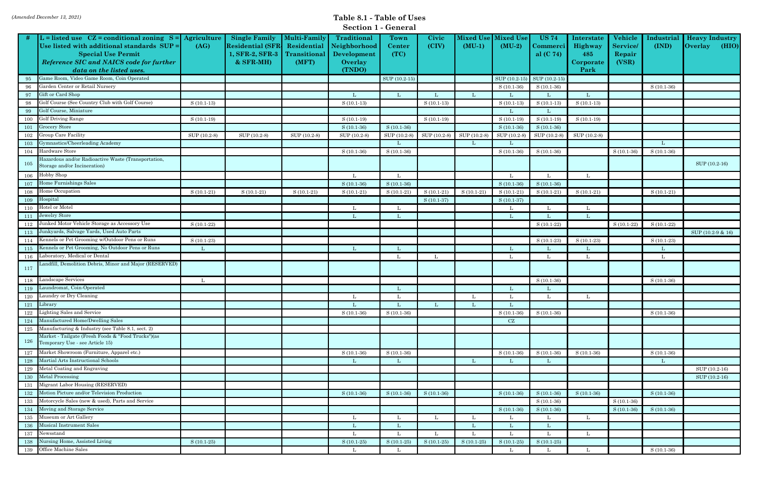|     |                                                                                                                                                                                                               |              |                                                                                      |                                                             | <b>DECITOIT 1 - ACTIGLAT</b>                                           |                               |                |                              |                              |                                                   |                                                   |                                              |                     |                                                         |
|-----|---------------------------------------------------------------------------------------------------------------------------------------------------------------------------------------------------------------|--------------|--------------------------------------------------------------------------------------|-------------------------------------------------------------|------------------------------------------------------------------------|-------------------------------|----------------|------------------------------|------------------------------|---------------------------------------------------|---------------------------------------------------|----------------------------------------------|---------------------|---------------------------------------------------------|
|     | L = listed use $CZ =$ conditional zoning $S =$ Agriculture<br>Use listed with additional standards SUP =<br><b>Special Use Permit</b><br>Reference SIC and NAICS code for further<br>data on the listed uses. | (AG)         | <b>Single Family</b><br><b>Residential (SFR</b><br>1, SFR-2, SFR-3<br>$&$ SFR-MH $)$ | <b>Multi-Family</b><br>Residential<br>Transitional<br>(MFT) | <b>Traditional</b><br>Neighborhood<br>Development<br>Overlay<br>(TNDO) | <b>Town</b><br>Center<br>(TC) | Civic<br>(CIV) | <b>Mixed Use</b><br>$(MU-1)$ | <b>Mixed Use</b><br>$(MU-2)$ | <b>US 74</b><br>C <b>ommerci  </b><br>al $(C 74)$ | Interstate<br>Highway<br>485<br>Corporate<br>Park | Vehicle<br><b>Service</b><br>Repair<br>(VSR) | Industrial<br>(IND) | <b>Heavy Industry</b><br>$\sqrt{\frac{1}{10}}$<br>(HIO) |
| 95  | Game Room, Video Game Room, Coin Operated                                                                                                                                                                     |              |                                                                                      |                                                             |                                                                        | SUP (10.2-15)                 |                |                              |                              | SUP (10.2-15) SUP (10.2-15)                       |                                                   |                                              |                     |                                                         |
| 96  | Garden Center or Retail Nursery                                                                                                                                                                               |              |                                                                                      |                                                             |                                                                        |                               |                |                              | $S(10.1-36)$                 | $S(10.1-36)$                                      |                                                   |                                              | $S(10.1-36)$        |                                                         |
| 97  | Gift or Card Shop                                                                                                                                                                                             |              |                                                                                      |                                                             | Т.                                                                     | L                             | Т.             |                              |                              |                                                   | L                                                 |                                              |                     |                                                         |
| 98  | Golf Course (See Country Club with Golf Course)                                                                                                                                                               | $S(10.1-13)$ |                                                                                      |                                                             | $S(10.1-13)$                                                           |                               | $S(10.1-13)$   |                              | $S(10.1-13)$                 | $S(10.1-13)$                                      | $S(10.1-13)$                                      |                                              |                     |                                                         |
| -99 | Golf Course, Miniature                                                                                                                                                                                        |              |                                                                                      |                                                             |                                                                        |                               |                |                              |                              |                                                   |                                                   |                                              |                     |                                                         |
| 100 | <b>Golf Driving Range</b>                                                                                                                                                                                     | $S(10.1-19)$ |                                                                                      |                                                             | $S(10.1-19)$                                                           |                               | $S(10.1-19)$   |                              | $S(10.1-19)$                 | $S(10.1-19)$                                      | $S(10.1-19)$                                      |                                              |                     |                                                         |
| 101 | Grocery Store                                                                                                                                                                                                 |              |                                                                                      |                                                             | $S(10.1-36)$                                                           | $S(10.1-36)$                  |                |                              | $S(10.1-36)$                 | $S(10.1-36)$                                      |                                                   |                                              |                     |                                                         |
| 102 | Group Care Facility                                                                                                                                                                                           | SUP (10.2-8) | SUP (10.2-8)                                                                         | SUP (10.2-8)                                                | SUP (10.2-8)                                                           | SUP (10.2-8)                  | SUP (10.2-8)   | SUP (10.2-8)                 | SUP (10.2-8)                 | SUP (10.2-8)                                      | SUP (10.2-8)                                      |                                              |                     |                                                         |
| 103 | Gymnastics/Cheerleading Academy                                                                                                                                                                               |              |                                                                                      |                                                             |                                                                        | L                             |                |                              |                              |                                                   |                                                   |                                              | L                   |                                                         |
| 104 | Hardware Store                                                                                                                                                                                                |              |                                                                                      |                                                             | $S(10.1-36)$                                                           | $S(10.1-36)$                  |                |                              | $S(10.1-36)$                 | $S(10.1-36)$                                      |                                                   | $S(10.1-36)$                                 | $S(10.1-36)$        |                                                         |
| 105 | Hazardous and/or Radioactive Waste (Transportation,<br>Storage and/or Incineration)                                                                                                                           |              |                                                                                      |                                                             |                                                                        |                               |                |                              |                              |                                                   |                                                   |                                              |                     | SUP (10.2-16)                                           |
| 106 | Hobby Shop                                                                                                                                                                                                    |              |                                                                                      |                                                             | L                                                                      | L                             |                |                              |                              |                                                   |                                                   |                                              |                     |                                                         |
| 107 | Home Furnishings Sales                                                                                                                                                                                        |              |                                                                                      |                                                             | $S(10.1-36)$                                                           | $S(10.1-36)$                  |                |                              | $S(10.1-36)$                 | $S(10.1-36)$                                      |                                                   |                                              |                     |                                                         |
| 108 | Home Occupation                                                                                                                                                                                               | $S(10.1-21)$ | $S(10.1-21)$                                                                         | $S(10.1-21)$                                                | $S(10.1-21)$                                                           | $S(10.1-21)$                  | $S(10.1-21)$   | $S(10.1-21)$                 | $S(10.1-21)$                 | $S(10.1-21)$                                      | $S(10.1-21)$                                      |                                              | $S(10.1-21)$        |                                                         |
| 109 | Hospital                                                                                                                                                                                                      |              |                                                                                      |                                                             |                                                                        |                               | $S(10.1-37)$   |                              | $S(10.1-37)$                 |                                                   |                                                   |                                              |                     |                                                         |
| 110 | <b>Hotel or Motel</b>                                                                                                                                                                                         |              |                                                                                      |                                                             | - L                                                                    | L                             |                |                              |                              |                                                   |                                                   |                                              |                     |                                                         |
| 111 | Jewelry Store                                                                                                                                                                                                 |              |                                                                                      |                                                             | L                                                                      | L                             |                |                              |                              |                                                   | Т.                                                |                                              |                     |                                                         |
| 112 | Junked Motor Vehicle Storage as Accessory Use                                                                                                                                                                 | $S(10.1-22)$ |                                                                                      |                                                             |                                                                        |                               |                |                              |                              | $S(10.1-22)$                                      |                                                   | $S(10.1-22)$                                 | $S(10.1-22)$        |                                                         |
| 113 | Junkyards, Salvage Yards, Used Auto Parts                                                                                                                                                                     |              |                                                                                      |                                                             |                                                                        |                               |                |                              |                              |                                                   |                                                   |                                              |                     | SUP (10.2-9 & 16)                                       |
| 114 | Kennels or Pet Grooming w/Outdoor Pens or Runs                                                                                                                                                                | $S(10.1-23)$ |                                                                                      |                                                             |                                                                        |                               |                |                              |                              | $S(10.1-23)$                                      | $S(10.1-23)$                                      |                                              | $S(10.1-23)$        |                                                         |
| 115 | Kennels or Pet Grooming, No Outdoor Pens or Runs                                                                                                                                                              | L            |                                                                                      |                                                             | L                                                                      | L                             |                |                              |                              |                                                   |                                                   |                                              | -L                  |                                                         |
| 116 | Laboratory, Medical or Dental                                                                                                                                                                                 |              |                                                                                      |                                                             |                                                                        | - L                           | L              |                              | L                            |                                                   | - L                                               |                                              | L                   |                                                         |
| 117 | andfill, Demolition Debris, Minor and Major (RESERVED)                                                                                                                                                        |              |                                                                                      |                                                             |                                                                        |                               |                |                              |                              |                                                   |                                                   |                                              |                     |                                                         |
| 118 | Landscape Services                                                                                                                                                                                            | L            |                                                                                      |                                                             |                                                                        |                               |                |                              |                              | $S(10.1-36)$                                      |                                                   |                                              | $S(10.1-36)$        |                                                         |
| 119 | Laundromat, Coin-Operated                                                                                                                                                                                     |              |                                                                                      |                                                             |                                                                        | L                             |                |                              |                              |                                                   |                                                   |                                              |                     |                                                         |
| 120 | aundry or Dry Cleaning                                                                                                                                                                                        |              |                                                                                      |                                                             | L                                                                      | L                             |                |                              |                              |                                                   |                                                   |                                              |                     |                                                         |
|     | 121 Library                                                                                                                                                                                                   |              |                                                                                      |                                                             |                                                                        |                               |                |                              |                              |                                                   |                                                   |                                              |                     |                                                         |
| 122 | Lighting Sales and Service                                                                                                                                                                                    |              |                                                                                      |                                                             | $S(10.1-36)$                                                           | $S(10.1-36)$                  |                |                              | $S(10.1-36)$                 | $S(10.1-36)$                                      |                                                   |                                              | $S(10.1-36)$        |                                                         |
|     | 124 Manufactured Home/Dwelling Sales                                                                                                                                                                          |              |                                                                                      |                                                             |                                                                        |                               |                |                              | CZ                           |                                                   |                                                   |                                              |                     |                                                         |
|     | 125 Manufacturing & Industry (see Table 8.1, sect. 2)                                                                                                                                                         |              |                                                                                      |                                                             |                                                                        |                               |                |                              |                              |                                                   |                                                   |                                              |                     |                                                         |
| 126 | Market - Tailgate (Fresh Foods & "Food Trucks")(as<br>Temporary Use - see Article 15)                                                                                                                         |              |                                                                                      |                                                             |                                                                        |                               |                |                              |                              |                                                   |                                                   |                                              |                     |                                                         |
| 127 | Market Showroom (Furniture, Apparel etc.)                                                                                                                                                                     |              |                                                                                      |                                                             | $S(10.1-36)$                                                           | $S(10.1-36)$                  |                |                              | $S(10.1-36)$                 | $S(10.1-36)$                                      | $S(10.1-36)$                                      |                                              | $S(10.1-36)$        |                                                         |
| 128 | Martial Arts Instructional Schools                                                                                                                                                                            |              |                                                                                      |                                                             | -L                                                                     | L                             |                | L                            |                              |                                                   |                                                   |                                              | L                   |                                                         |
| 129 | Metal Coating and Engraving                                                                                                                                                                                   |              |                                                                                      |                                                             |                                                                        |                               |                |                              |                              |                                                   |                                                   |                                              |                     | SUP (10.2-16)                                           |
|     | 130 Metal Processing                                                                                                                                                                                          |              |                                                                                      |                                                             |                                                                        |                               |                |                              |                              |                                                   |                                                   |                                              |                     | SUP (10.2-16)                                           |
| 131 | Migrant Labor Housing (RESERVED)                                                                                                                                                                              |              |                                                                                      |                                                             |                                                                        |                               |                |                              |                              |                                                   |                                                   |                                              |                     |                                                         |
| 132 | Motion Picture and/or Television Production                                                                                                                                                                   |              |                                                                                      |                                                             | $S(10.1-36)$                                                           | $S(10.1-36)$                  | $S(10.1-36)$   |                              | $S(10.1-36)$                 | $S(10.1-36)$                                      | $S(10.1-36)$                                      |                                              | $S(10.1-36)$        |                                                         |
| 133 | Motorcycle Sales (new & used), Parts and Service                                                                                                                                                              |              |                                                                                      |                                                             |                                                                        |                               |                |                              |                              | $S(10.1-36)$                                      |                                                   | $S(10.1-36)$                                 |                     |                                                         |
| 134 | Moving and Storage Service                                                                                                                                                                                    |              |                                                                                      |                                                             |                                                                        |                               |                |                              | $S(10.1-36)$                 | $S(10.1-36)$                                      |                                                   | $S(10.1-36)$                                 | $S(10.1-36)$        |                                                         |
|     | 135 Museum or Art Gallery                                                                                                                                                                                     |              |                                                                                      |                                                             | L                                                                      | L                             | L              |                              |                              |                                                   | L                                                 |                                              |                     |                                                         |
| 136 | Musical Instrument Sales                                                                                                                                                                                      |              |                                                                                      |                                                             |                                                                        | L                             |                |                              |                              |                                                   |                                                   |                                              |                     |                                                         |
| 137 | Newsstand                                                                                                                                                                                                     |              |                                                                                      |                                                             | L                                                                      | L                             | L              |                              |                              |                                                   | L                                                 |                                              |                     |                                                         |
| 138 | Nursing Home, Assisted Living                                                                                                                                                                                 | $S(10.1-25)$ |                                                                                      |                                                             | $S(10.1-25)$                                                           | $S(10.1-25)$                  | $S(10.1-25)$   | $S(10.1-25)$                 | $S(10.1-25)$                 | $S(10.1-25)$                                      |                                                   |                                              |                     |                                                         |
|     | 139 Office Machine Sales                                                                                                                                                                                      |              |                                                                                      |                                                             | L                                                                      | L                             |                |                              |                              |                                                   | $\mathbf{L}$                                      |                                              | $S(10.1-36)$        |                                                         |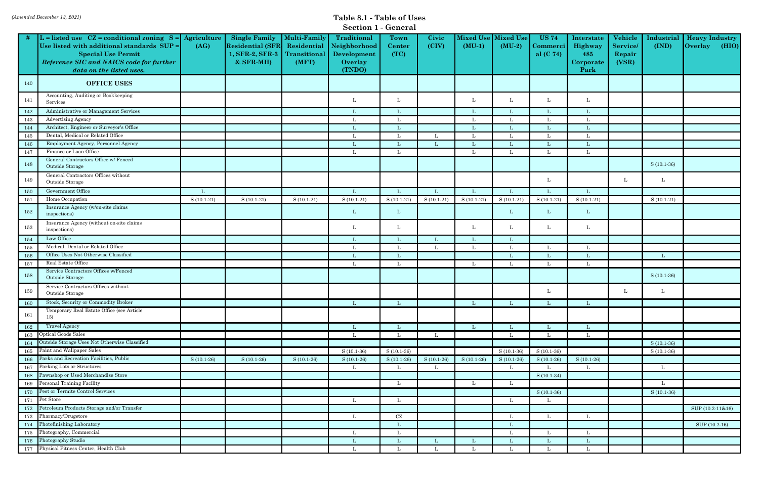|  |  | <b>Section 1 - General</b> |
|--|--|----------------------------|
|--|--|----------------------------|

|     |                                                                                                                                                                                                               |              |                                                                                      |                                                             | Dection 1 - General                                                    |                        |                |                              |                              |                                           |                                                   |                                              |                     |                                                  |
|-----|---------------------------------------------------------------------------------------------------------------------------------------------------------------------------------------------------------------|--------------|--------------------------------------------------------------------------------------|-------------------------------------------------------------|------------------------------------------------------------------------|------------------------|----------------|------------------------------|------------------------------|-------------------------------------------|---------------------------------------------------|----------------------------------------------|---------------------|--------------------------------------------------|
|     | L = listed use $CZ =$ conditional zoning $S =$ Agriculture<br>Use listed with additional standards SUP =<br><b>Special Use Permit</b><br>Reference SIC and NAICS code for further<br>data on the listed uses. | (AG)         | <b>Single Family</b><br><b>Residential (SFR</b><br>1, SFR-2, SFR-3<br>$&$ SFR-MH $)$ | <b>Multi-Family</b><br>Residential<br>Transitional<br>(MFT) | <b>Traditional</b><br>Neighborhood<br>Development<br>Overlay<br>(TNDO) | Town<br>Center<br>(TC) | Civic<br>(CIV) | <b>Mixed Use</b><br>$(MU-1)$ | <b>Mixed Use</b><br>$(MU-2)$ | <b>US 74</b><br>Commerci  <br>al $(C 74)$ | Interstate<br>Highway<br>485<br>Corporate<br>Park | Vehicle<br><b>Service</b><br>Repair<br>(VSR) | Industrial<br>(IND) | <b>Heavy Industry</b><br>(HIO)<br><b>Overlay</b> |
| 140 | <b>OFFICE USES</b>                                                                                                                                                                                            |              |                                                                                      |                                                             |                                                                        |                        |                |                              |                              |                                           |                                                   |                                              |                     |                                                  |
| 141 | Accounting, Auditing or Bookkeeping<br>Services                                                                                                                                                               |              |                                                                                      |                                                             | L                                                                      | L                      |                | L                            | L                            |                                           | L                                                 |                                              |                     |                                                  |
| 142 | Administrative or Management Services                                                                                                                                                                         |              |                                                                                      |                                                             | Т.                                                                     |                        |                | Т.                           |                              |                                           |                                                   |                                              |                     |                                                  |
| 143 | <b>Advertising Agency</b>                                                                                                                                                                                     |              |                                                                                      |                                                             | Т.                                                                     |                        |                | Ι.                           |                              |                                           |                                                   |                                              |                     |                                                  |
| 144 | Architect, Engineer or Surveyor's Office                                                                                                                                                                      |              |                                                                                      |                                                             | L                                                                      |                        |                | L                            |                              |                                           |                                                   |                                              |                     |                                                  |
| 145 | Dental, Medical or Related Office                                                                                                                                                                             |              |                                                                                      |                                                             | L                                                                      |                        | L              | L                            |                              |                                           |                                                   |                                              |                     |                                                  |
| 146 | Employment Agency, Personnel Agency                                                                                                                                                                           |              |                                                                                      |                                                             | -Т.                                                                    |                        | L              | L                            |                              |                                           |                                                   |                                              |                     |                                                  |
| 147 | Finance or Loan Office                                                                                                                                                                                        |              |                                                                                      |                                                             | L                                                                      | L                      |                | L                            | L                            |                                           | L                                                 |                                              |                     |                                                  |
| 148 | General Contractors Office w/ Fenced<br>Outside Storage                                                                                                                                                       |              |                                                                                      |                                                             |                                                                        |                        |                |                              |                              |                                           |                                                   |                                              | $S(10.1-36)$        |                                                  |
| 149 | General Contractors Offices without<br>Outside Storage                                                                                                                                                        |              |                                                                                      |                                                             |                                                                        |                        |                |                              |                              | L                                         |                                                   |                                              | L                   |                                                  |
| 150 | Government Office                                                                                                                                                                                             | L            |                                                                                      |                                                             | L                                                                      |                        | L              | L                            |                              |                                           |                                                   |                                              |                     |                                                  |
| 151 | Home Occupation                                                                                                                                                                                               | $S(10.1-21)$ | $S(10.1-21)$                                                                         | $S(10.1-21)$                                                | $S(10.1-21)$                                                           | $S(10.1-21)$           | $S(10.1-21)$   | $S(10.1-21)$                 | $S(10.1-21)$                 | $S(10.1-21)$                              | $S(10.1-21)$                                      |                                              | $S(10.1-21)$        |                                                  |
| 152 | Insurance Agency (w/on-site claims<br>inspections)                                                                                                                                                            |              |                                                                                      |                                                             | L                                                                      | L                      |                |                              | L                            | L                                         | L                                                 |                                              |                     |                                                  |
| 153 | Insurance Agency (without on-site claims<br>inspections)                                                                                                                                                      |              |                                                                                      |                                                             | L                                                                      | L                      |                | L                            | L                            | L                                         | L                                                 |                                              |                     |                                                  |
| 154 | Law Office                                                                                                                                                                                                    |              |                                                                                      |                                                             | L                                                                      |                        | L              | L                            | L                            |                                           |                                                   |                                              |                     |                                                  |
| 155 | Medical, Dental or Related Office                                                                                                                                                                             |              |                                                                                      |                                                             | - L                                                                    |                        | L              | L                            | L                            |                                           |                                                   |                                              |                     |                                                  |
| 156 | Office Uses Not Otherwise Classified                                                                                                                                                                          |              |                                                                                      |                                                             | L                                                                      |                        |                |                              |                              |                                           |                                                   |                                              |                     |                                                  |
| 157 | Real Estate Office                                                                                                                                                                                            |              |                                                                                      |                                                             | L                                                                      | L                      |                | L                            |                              |                                           | - L                                               |                                              |                     |                                                  |
| 158 | Service Contractors Offices w/Fenced<br>Outside Storage                                                                                                                                                       |              |                                                                                      |                                                             |                                                                        |                        |                |                              |                              |                                           |                                                   |                                              | $S(10.1-36)$        |                                                  |
| 159 | Service Contractors Offices without<br>Outside Storage                                                                                                                                                        |              |                                                                                      |                                                             |                                                                        |                        |                |                              |                              |                                           |                                                   |                                              | L                   |                                                  |
| 160 | Stock, Security or Commodity Broker                                                                                                                                                                           |              |                                                                                      |                                                             | L                                                                      | L.                     |                | L                            |                              |                                           |                                                   |                                              |                     |                                                  |
| 161 | Temporary Real Estate Office (see Article<br>15)                                                                                                                                                              |              |                                                                                      |                                                             |                                                                        |                        |                |                              |                              |                                           |                                                   |                                              |                     |                                                  |
| 162 | <b>Travel Agency</b>                                                                                                                                                                                          |              |                                                                                      |                                                             | $\mathbf{L}$                                                           | -L                     |                | $\mathbf{L}$                 | L                            |                                           | L                                                 |                                              |                     |                                                  |
| 163 | Optical Goods Sales                                                                                                                                                                                           |              |                                                                                      |                                                             | L                                                                      | L                      | L              |                              | L                            |                                           |                                                   |                                              |                     |                                                  |
| 164 | Outside Storage Uses Not Otherwise Classified                                                                                                                                                                 |              |                                                                                      |                                                             |                                                                        |                        |                |                              |                              |                                           |                                                   |                                              | $S(10.1-36)$        |                                                  |
| 165 | Paint and Wallpaper Sales                                                                                                                                                                                     |              |                                                                                      |                                                             | $S(10.1-36)$                                                           | $S(10.1-36)$           |                |                              | $S(10.1-36)$                 | $S(10.1-36)$                              |                                                   |                                              | $S(10.1-36)$        |                                                  |
| 166 | Parks and Recreation Facilities, Public                                                                                                                                                                       | $S(10.1-26)$ | $S(10.1-26)$                                                                         | $S(10.1-26)$                                                | $S(10.1-26)$                                                           | $S(10.1-26)$           | $S(10.1-26)$   | $S(10.1-26)$                 | $S(10.1-26)$                 | $S(10.1-26)$                              | $S(10.1-26)$                                      |                                              |                     |                                                  |
| 167 | Parking Lots or Structures                                                                                                                                                                                    |              |                                                                                      |                                                             | $\mathbf{L}$                                                           | L                      | L              |                              | L                            | L                                         | L.                                                |                                              | $\mathbf{L}$        |                                                  |
| 168 | Pawnshop or Used Merchandise Store                                                                                                                                                                            |              |                                                                                      |                                                             |                                                                        |                        |                |                              |                              | $S(10.1-34)$                              |                                                   |                                              |                     |                                                  |
|     | 169 Personal Training Facility                                                                                                                                                                                |              |                                                                                      |                                                             |                                                                        | L                      |                | L                            | L                            |                                           |                                                   |                                              | L                   |                                                  |
| 170 | Pest or Termite Control Services                                                                                                                                                                              |              |                                                                                      |                                                             |                                                                        |                        |                |                              |                              | $S(10.1-36)$                              |                                                   |                                              | $S(10.1-36)$        |                                                  |
| 171 | Pet Store                                                                                                                                                                                                     |              |                                                                                      |                                                             | L                                                                      | L                      |                |                              | L                            |                                           |                                                   |                                              |                     |                                                  |
| 172 | Petroleum Products Storage and/or Transfer                                                                                                                                                                    |              |                                                                                      |                                                             |                                                                        |                        |                |                              |                              |                                           |                                                   |                                              |                     | SUP (10.2-11&16)                                 |
| 173 | Pharmacy/Drugstore                                                                                                                                                                                            |              |                                                                                      |                                                             | L                                                                      | $\operatorname{CZ}$    |                |                              | L                            |                                           |                                                   |                                              |                     |                                                  |
|     | 174 Photofinishing Laboratory                                                                                                                                                                                 |              |                                                                                      |                                                             |                                                                        | L                      |                |                              | L                            |                                           |                                                   |                                              |                     | SUP (10.2-16)                                    |
| 175 | Photography, Commercial                                                                                                                                                                                       |              |                                                                                      |                                                             | L                                                                      | L                      |                |                              | L                            | L                                         | $\mathbf{L}$                                      |                                              |                     |                                                  |
| 176 | Photography Studio                                                                                                                                                                                            |              |                                                                                      |                                                             | L                                                                      | L                      | L              | L                            |                              |                                           | L                                                 |                                              |                     |                                                  |
|     | 177 Physical Fitness Center, Health Club                                                                                                                                                                      |              |                                                                                      |                                                             | - L                                                                    |                        |                |                              |                              |                                           |                                                   |                                              |                     |                                                  |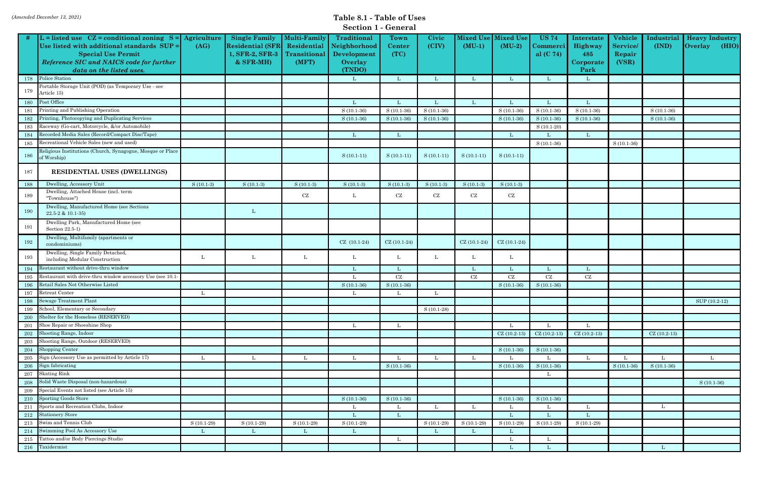|  |  | <b>Section 1 - General</b> |
|--|--|----------------------------|
|--|--|----------------------------|

|         |                                                                           |              |                         |                     | Dection 1 - General |               |              |               |                  |               |               |                |               |                         |
|---------|---------------------------------------------------------------------------|--------------|-------------------------|---------------------|---------------------|---------------|--------------|---------------|------------------|---------------|---------------|----------------|---------------|-------------------------|
|         | L = listed use $CZ =$ conditional zoning $S =$ Agriculture                |              | <b>Single Family</b>    | <b>Multi-Family</b> | <b>Traditional</b>  | Town          | Civic        | Mixed Use     | <b>Mixed Use</b> | <b>US 74</b>  | Interstate    | Vehicle        | Industrial    | <b>Heavy Industry</b>   |
|         | Use listed with additional standards SUP =                                | (AG)         | <b>Residential (SFR</b> | Residential         | Neighborhood        | <b>Center</b> | (CIV)        | $(MU-1)$      | $(MU-2)$         | Commerci      | Highway       | <b>Service</b> | (IND)         | <b>Overlay</b><br>(HIO) |
|         | <b>Special Use Permit</b>                                                 |              | 1, SFR-2, SFR-3         | Transitional        | Development         | (TC)          |              |               |                  | al $(C 74)$   | 485           | Repair         |               |                         |
|         | Reference SIC and NAICS code for further                                  |              | $&$ SFR-MH $)$          | (MFT)               | Overlay             |               |              |               |                  |               | Corporate     | (VSR)          |               |                         |
|         | data on the listed uses.                                                  |              |                         |                     | (TNDO)              |               |              |               |                  |               | Park          |                |               |                         |
| 178     | Police Station                                                            |              |                         |                     | $\mathbf{L}$        | L             | Т.           | L             |                  |               |               |                |               |                         |
| 179     | Portable Storage Unit (POD) (as Temporary Use - see<br>Article 15)        |              |                         |                     |                     |               |              |               |                  |               |               |                |               |                         |
| 180     | Post Office                                                               |              |                         |                     | L                   |               |              | L             |                  |               |               |                |               |                         |
| 181     | Printing and Publishing Operation                                         |              |                         |                     | $S(10.1-36)$        | $S(10.1-36)$  | $S(10.1-36)$ |               | $S(10.1-36)$     | $S(10.1-36)$  | $S(10.1-36)$  |                | $S(10.1-36)$  |                         |
| 182     | Printing, Photocopying and Duplicating Services                           |              |                         |                     | $S(10.1-36)$        | $S(10.1-36)$  | $S(10.1-36)$ |               | $S(10.1-36)$     | $S(10.1-36)$  | $S(10.1-36)$  |                | $S(10.1-36)$  |                         |
| 183     | Raceway (Go-cart, Motorcycle, &/or Automobile)                            |              |                         |                     |                     |               |              |               |                  | $S(10.1-20)$  |               |                |               |                         |
| 184     | Recorded Media Sales (Record/Compact Disc/Tape)                           |              |                         |                     | L                   | L             |              |               | L                |               | L             |                |               |                         |
| 185     | Recreational Vehicle Sales (new and used)                                 |              |                         |                     |                     |               |              |               |                  | $S(10.1-36)$  |               | $S(10.1-36)$   |               |                         |
| 186     | Religious Institutions (Church, Synagogue, Mosque or Place<br>of Worship) |              |                         |                     | $S(10.1-11)$        | $S(10.1-11)$  | $S(10.1-11)$ | $S(10.1-11)$  | $S(10.1-11)$     |               |               |                |               |                         |
| 187     | <b>RESIDENTIAL USES (DWELLINGS)</b>                                       |              |                         |                     |                     |               |              |               |                  |               |               |                |               |                         |
| 188     | Dwelling, Accessory Unit                                                  | $S(10.1-3)$  | $S(10.1-3)$             | $S(10.1-3)$         | $S(10.1-3)$         | $S(10.1-3)$   | $S(10.1-3)$  | $S(10.1-3)$   | $S(10.1-3)$      |               |               |                |               |                         |
| 189     | Dwelling, Attached House (incl. term<br>"Townhouse")                      |              |                         | CZ                  | L                   | CZ            | CZ           | CZ            | CZ               |               |               |                |               |                         |
| 190     | Dwelling, Manufactured Home (see Sections<br>$22.5 - 2 \& 10.1 - 35$      |              | L                       |                     |                     |               |              |               |                  |               |               |                |               |                         |
| 191     | Dwelling Park, Manufactured Home (see<br>Section 22.5-1)                  |              |                         |                     |                     |               |              |               |                  |               |               |                |               |                         |
| 192     | Dwelling, Multifamily (apartments or<br>condominiums)                     |              |                         |                     | $CZ$ (10.1-24)      | $CZ(10.1-24)$ |              | $CZ(10.1-24)$ | $CZ(10.1-24)$    |               |               |                |               |                         |
| 193     | Dwelling, Single Family Detached,<br>including Modular Construction       | L            | L                       | L                   | L                   | L             | L            | L             | L                |               |               |                |               |                         |
| 194     | Restaurant without drive thru window                                      |              |                         |                     | Т.                  |               |              | L             |                  |               |               |                |               |                         |
| 195     | Restaurant with drive-thru window accessory Use (see 10.1)                |              |                         |                     | Т.                  | CZ            |              | CZ            | CZ               | CZ            | CZ            |                |               |                         |
| 196     | Retail Sales Not Otherwise Listed                                         |              |                         |                     | $S(10.1-36)$        | $S(10.1-36)$  |              |               | $S(10.1-36)$     | $S(10.1-36)$  |               |                |               |                         |
| 197     | Retreat Center                                                            | L            |                         |                     | L                   |               | L            |               |                  |               |               |                |               |                         |
| 198     | <b>Sewage Treatment Plant</b>                                             |              |                         |                     |                     |               |              |               |                  |               |               |                |               | SUP (10.2-12)           |
| 199     | School, Elementary or Secondary                                           |              |                         |                     |                     |               | $S(10.1-28)$ |               |                  |               |               |                |               |                         |
| 200     | Shelter for the Homeless (RESERVED)                                       |              |                         |                     |                     |               |              |               |                  |               |               |                |               |                         |
| 201     | Shoe Repair or Shoeshine Shop                                             |              |                         |                     | L                   | L             |              |               | L                |               |               |                |               |                         |
| 202     | Shooting Range, Indoor                                                    |              |                         |                     |                     |               |              |               | $CZ(10.2-13)$    | $CZ(10.2-13)$ | $CZ(10.2-13)$ |                | $CZ(10.2-13)$ |                         |
| 203     | Shooting Range, Outdoor (RESERVED)                                        |              |                         |                     |                     |               |              |               |                  |               |               |                |               |                         |
| 204     | Shopping Center                                                           |              |                         |                     |                     |               |              |               | $S(10.1-36)$     | $S(10.1-36)$  |               |                |               |                         |
| 205     | Sign (Accessory Use as permitted by Article 17)                           | L            | L                       |                     | L                   |               | L            | L             |                  |               |               |                |               |                         |
| 206     | Sign fabricating                                                          |              |                         |                     |                     | $S(10.1-36)$  |              |               | $S(10.1-36)$     | $S(10.1-36)$  |               | $S(10.1-36)$   | $S(10.1-36)$  |                         |
| 207     | <b>Skating Rink</b><br>Solid Waste Disposal (non-hazardous)               |              |                         |                     |                     |               |              |               |                  | L             |               |                |               |                         |
| 208     |                                                                           |              |                         |                     |                     |               |              |               |                  |               |               |                |               | $S(10.1-36)$            |
| 209     | Special Events not listed (see Article 15)                                |              |                         |                     |                     |               |              |               |                  |               |               |                |               |                         |
|         | 210 Sporting Goods Store                                                  |              |                         |                     | $S(10.1-36)$        | $S(10.1-36)$  |              |               | $S(10.1-36)$     | $S(10.1-36)$  |               |                |               |                         |
| 211     | Sports and Recreation Clubs, Indoor                                       |              |                         |                     | - L                 | L             | L            | L             |                  |               |               |                | L             |                         |
| 212     | <b>Stationery Store</b>                                                   |              |                         |                     | L                   | L             |              |               | L                |               | L             |                |               |                         |
| 213     | Swim and Tennis Club<br>Swimming Pool As Accessory Use                    | $S(10.1-29)$ | $S(10.1-29)$            | $S(10.1-29)$        | $S(10.1-29)$        |               | $S(10.1-29)$ | $S(10.1-29)$  | $S(10.1-29)$     | $S(10.1-29)$  | $S(10.1-29)$  |                |               |                         |
| 214     | Tattoo and/or Body Piercings Studio                                       | L            | L                       |                     | L                   |               | L            | L             |                  |               |               |                |               |                         |
| $215\,$ | 216 Taxidermist                                                           |              |                         |                     |                     |               |              |               |                  |               |               |                |               |                         |
|         |                                                                           |              |                         |                     |                     |               |              |               | L                | L.            |               |                | $\mathbf{L}$  |                         |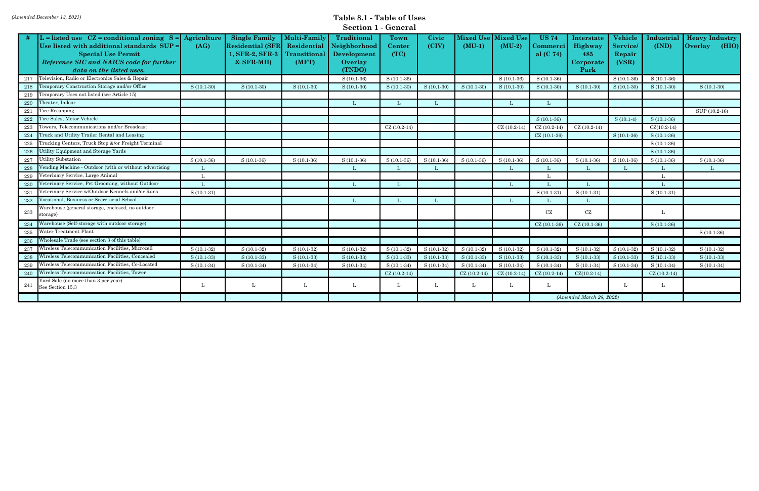|  |  | <b>Section 1 - General</b> |
|--|--|----------------------------|
|--|--|----------------------------|

|         | $\overline{L}$ = listed use $CZ$ = conditional zoning S = Agriculture |              | <b>Single Family</b>    | <b>Multi-Family</b> | Traditional  | Town          | Civic        | <b>Mixed Use</b> | <b>Mixed Use</b> | <b>US 74</b>      | Interstate               | Vehicle        | Industria     | <b>Heavy Industry</b>   |
|---------|-----------------------------------------------------------------------|--------------|-------------------------|---------------------|--------------|---------------|--------------|------------------|------------------|-------------------|--------------------------|----------------|---------------|-------------------------|
|         | Use listed with additional standards SUP =                            | (AG)         | <b>Residential (SFR</b> | Residential         | Neighborhood | <b>Center</b> | (CIV)        | $(MU-1)$         | $(MU-2)$         | <b>Commerci  </b> | Highway                  | <b>Service</b> | (IND)         | (HIO)<br><b>Overlay</b> |
|         | <b>Special Use Permit</b>                                             |              | 1, SFR-2, SFR-3         | Transitional        | Development  | (TC)          |              |                  |                  | al $(C 74)$       | 485                      | Repair         |               |                         |
|         | Reference SIC and NAICS code for further                              |              | $&$ SFR-MH $)$          | (MFT)               | Overlay      |               |              |                  |                  |                   | Corporate                | (VSR)          |               |                         |
|         | data on the listed uses.                                              |              |                         |                     | (TNDO)       |               |              |                  |                  |                   | Park                     |                |               |                         |
| 217     | Television, Radio or Electronics Sales & Repair                       |              |                         |                     | $S(10.1-36)$ | $S(10.1-36)$  |              |                  | $S(10.1-36)$     | $S(10.1-36)$      |                          | $S(10.1-36)$   | $S(10.1-36)$  |                         |
| 218     | Temporary Construction Storage and/or Office                          | $S(10.1-30)$ | $S(10.1-30)$            | $S(10.1-30)$        | $S(10.1-30)$ | $S(10.1-30)$  | $S(10.1-30)$ | $S(10.1-30)$     | $S(10.1-30)$     | $S(10.1-30)$      | $S(10.1-30)$             | $S(10.1-30)$   | $S(10.1-30)$  | $S(10.1-30)$            |
| 219     | Temporary Uses not listed (see Article 15)                            |              |                         |                     |              |               |              |                  |                  |                   |                          |                |               |                         |
| 220     | Theater, Indoor                                                       |              |                         |                     | L            |               |              |                  | L                |                   |                          |                |               |                         |
| 221     | Tire Recapping                                                        |              |                         |                     |              |               |              |                  |                  |                   |                          |                |               | SUP (10.2-16)           |
| 222     | Tire Sales, Motor Vehicle                                             |              |                         |                     |              |               |              |                  |                  | $S(10.1-36)$      |                          | $S(10.1-4)$    | $S(10.1-36)$  |                         |
| 223     | Towers, Telecommunications and/or Broadcast                           |              |                         |                     |              | $CZ(10.2-14)$ |              |                  | $CZ(10.2-14)$    | $CZ(10.2-14)$     | $CZ(10.2-14)$            |                | $CZ(10.2-14)$ |                         |
| 224     | Truck and Utility Trailer Rental and Leasing                          |              |                         |                     |              |               |              |                  |                  | $CZ(10.1-36)$     |                          | $S(10.1-36)$   | $S(10.1-36)$  |                         |
| $225\,$ | Trucking Centers, Truck Stop &/or Freight Terminal                    |              |                         |                     |              |               |              |                  |                  |                   |                          |                | $S(10.1-36)$  |                         |
| 226     | Utility Equipment and Storage Yards                                   |              |                         |                     |              |               |              |                  |                  |                   |                          |                | $S(10.1-36)$  |                         |
| 227     | Utility Substation                                                    | $S(10.1-36)$ | $S(10.1-36)$            | $S(10.1-36)$        | $S(10.1-36)$ | $S(10.1-36)$  | $S(10.1-36)$ | $S(10.1-36)$     | $S(10.1-36)$     | $S(10.1-36)$      | $S(10.1-36)$             | $S(10.1-36)$   | $S(10.1-36)$  | $S(10.1-36)$            |
| 228     | Vending Machine - Outdoor (with or without advertising                |              |                         |                     | L            |               | L            |                  |                  |                   |                          |                |               |                         |
| 229     | Veterinary Service, Large Animal                                      |              |                         |                     |              |               |              |                  |                  |                   |                          |                |               |                         |
| 230     | Veterinary Service, Pet Grooming, without Outdoor                     |              |                         |                     | - L          |               |              |                  |                  |                   |                          |                |               |                         |
| 231     | Veterinary Service w/Outdoor Kennels and/or Runs                      | $S(10.1-31)$ |                         |                     |              |               |              |                  |                  | $S(10.1-31)$      | $S(10.1-31)$             |                | $S(10.1-31)$  |                         |
| 232     | Vocational, Business or Secretarial School                            |              |                         |                     | $\mathbf{L}$ |               |              |                  |                  |                   |                          |                |               |                         |
| 233     | Warehouse (general storage, enclosed, no outdoor                      |              |                         |                     |              |               |              |                  |                  | CZ                | CZ                       |                | L             |                         |
|         | storage)                                                              |              |                         |                     |              |               |              |                  |                  |                   |                          |                |               |                         |
| 234     | Warehouse (Self-storage with outdoor storage)                         |              |                         |                     |              |               |              |                  |                  | $CZ(10.1-36$      | $CZ(10.1-36)$            |                | $S(10.1-36)$  |                         |
| 235     | Water Treatment Plant                                                 |              |                         |                     |              |               |              |                  |                  |                   |                          |                |               | $S(10.1-36)$            |
| 236     | Wholesale Trade (see section 3 of this table)                         |              |                         |                     |              |               |              |                  |                  |                   |                          |                |               |                         |
| 237     | Wireless Telecommunication Facilities, Microcell                      | $S(10.1-32)$ | $S(10.1-32)$            | $S(10.1-32)$        | $S(10.1-32)$ | $S(10.1-32)$  | $S(10.1-32)$ | $S(10.1-32)$     | $S(10.1-32)$     | $S(10.1-32)$      | $S(10.1-32)$             | $S(10.1-32)$   | $S(10.1-32)$  | $S(10.1-32)$            |
| 238     | Wireless Telecommunication Facilities, Concealed                      | $S(10.1-33)$ | $S(10.1-33)$            | $S(10.1-33)$        | $S(10.1-33)$ | $S(10.1-33)$  | $S(10.1-33)$ | $S(10.1-33)$     | $S(10.1-33)$     | $S(10.1-33)$      | $S(10.1-33)$             | $S(10.1-33)$   | $S(10.1-33)$  | S (10.1-33)             |
| 239     | Wireless Telecommunication Facilities, Co-Located                     | $S(10.1-34)$ | $S(10.1-34)$            | $S(10.1-34)$        | $S(10.1-34)$ | $S(10.1-34)$  | $S(10.1-34)$ | $S(10.1-34)$     | $S(10.1-34)$     | $S(10.1-34)$      | $S(10.1-34)$             | $S(10.1-34)$   | $S(10.1-34)$  | $S(10.1-34)$            |
| 240     | Wireless Telecommunication Facilities, Tower                          |              |                         |                     |              | $CZ(10.2-14)$ |              | $CZ(10.2-14)$    | $CZ(10.2-14)$    | $CZ(10.2-14)$     | $CZ(10.2-14)$            |                | $CZ(10.2-14)$ |                         |
| 241     | Yard Sale (no more than 3 per year)<br>See Section 15.3               |              | L                       | L                   |              |               |              | ъ.               |                  |                   |                          | ъ.             | L             |                         |
|         |                                                                       |              |                         |                     |              |               |              |                  |                  |                   | (Amended March 28, 2022) |                |               |                         |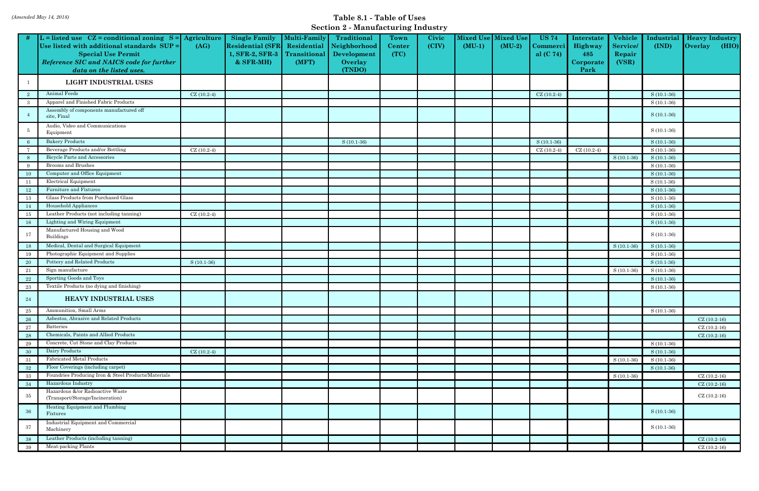#### *(Amended May 14, 2018)* **Table 8.1 - Table of Uses Section 2 - Manufacturing Industry**

|              |                                                                                                                                                                                                               |              |                                                                                   |                                                      | $\sec$ to $\frac{2}{3}$ - Manufacturing muusti $\frac{1}{2}$    |                        |                |                              |                              |                                                   |                                                   |                                              |                              |                                                  |
|--------------|---------------------------------------------------------------------------------------------------------------------------------------------------------------------------------------------------------------|--------------|-----------------------------------------------------------------------------------|------------------------------------------------------|-----------------------------------------------------------------|------------------------|----------------|------------------------------|------------------------------|---------------------------------------------------|---------------------------------------------------|----------------------------------------------|------------------------------|--------------------------------------------------|
|              | L = listed use $CZ =$ conditional zoning $S =$ Agriculture<br>Use listed with additional standards SUP =<br><b>Special Use Permit</b><br>Reference SIC and NAICS code for further<br>data on the listed uses. | (AG)         | <b>Single Family</b><br><b>Residential (SFR</b><br>1, SFR-2, SFR-3<br>$&$ SFR-MH) | Multi-Family<br>Residential<br>Transitional<br>(MFT) | Traditional<br>Neighborhood<br>Development<br>Overlay<br>(TNDO) | Town<br>Center<br>(TC) | Civic<br>(CIV) | <b>Mixed Use</b><br>$(MU-1)$ | <b>Mixed Use</b><br>$(MU-2)$ | <b>US 74</b><br>C <b>ommerci  </b><br>al $(C 74)$ | Interstate<br>Highway<br>485<br>Corporate<br>Park | Vehicle<br><b>Service</b><br>Repair<br>(VSR) | Industrial<br>(IND)          | <b>Heavy Industry</b><br><b>Overlay</b><br>(HIO) |
| -1           | LIGHT INDUSTRIAL USES                                                                                                                                                                                         |              |                                                                                   |                                                      |                                                                 |                        |                |                              |                              |                                                   |                                                   |                                              |                              |                                                  |
| $\mathbf{2}$ | Animal Feeds                                                                                                                                                                                                  | $CZ(10.2-4)$ |                                                                                   |                                                      |                                                                 |                        |                |                              |                              | $CZ(10.2-4)$                                      |                                                   |                                              | $S(10.1-36)$                 |                                                  |
| -3           | Apparel and Finished Fabric Products                                                                                                                                                                          |              |                                                                                   |                                                      |                                                                 |                        |                |                              |                              |                                                   |                                                   |                                              | $S(10.1-36)$                 |                                                  |
|              | Assembly of components manufactured off<br>site, Final                                                                                                                                                        |              |                                                                                   |                                                      |                                                                 |                        |                |                              |                              |                                                   |                                                   |                                              | $S(10.1-36)$                 |                                                  |
| -5           | Audio, Video and Communications<br>Equipment                                                                                                                                                                  |              |                                                                                   |                                                      |                                                                 |                        |                |                              |                              |                                                   |                                                   |                                              | $S(10.1-36)$                 |                                                  |
| -6           | <b>Bakery Products</b>                                                                                                                                                                                        |              |                                                                                   |                                                      | $S(10.1-36)$                                                    |                        |                |                              |                              | $S(10.1-36)$                                      |                                                   |                                              | $S(10.1-36)$                 |                                                  |
|              | Beverage Products and/or Bottling                                                                                                                                                                             | $CZ(10.2-4)$ |                                                                                   |                                                      |                                                                 |                        |                |                              |                              | $CZ(10.2-4)$                                      | $CZ(10.2-4)$                                      |                                              | $S(10.1-36)$                 |                                                  |
| 8            | <b>Bicycle Parts and Accessories</b>                                                                                                                                                                          |              |                                                                                   |                                                      |                                                                 |                        |                |                              |                              |                                                   |                                                   | $S(10.1-36)$                                 | $S(10.1-36)$                 |                                                  |
| 9            | Brooms and Brushes                                                                                                                                                                                            |              |                                                                                   |                                                      |                                                                 |                        |                |                              |                              |                                                   |                                                   |                                              | $S(10.1-36)$                 |                                                  |
| 10           | Computer and Office Equipment                                                                                                                                                                                 |              |                                                                                   |                                                      |                                                                 |                        |                |                              |                              |                                                   |                                                   |                                              | $S(10.1-36)$                 |                                                  |
| 11           | Electrical Equipment<br>Furniture and Fixtures                                                                                                                                                                |              |                                                                                   |                                                      |                                                                 |                        |                |                              |                              |                                                   |                                                   |                                              | $S(10.1-36)$                 |                                                  |
| 12           | Glass Products from Purchased Glass                                                                                                                                                                           |              |                                                                                   |                                                      |                                                                 |                        |                |                              |                              |                                                   |                                                   |                                              | $S(10.1-36)$                 |                                                  |
| 13           | Household Appliances                                                                                                                                                                                          |              |                                                                                   |                                                      |                                                                 |                        |                |                              |                              |                                                   |                                                   |                                              | $S(10.1-36)$                 |                                                  |
| 14<br>15     | Leather Products (not including tanning)                                                                                                                                                                      | $CZ(10.2-4)$ |                                                                                   |                                                      |                                                                 |                        |                |                              |                              |                                                   |                                                   |                                              | $S(10.1-36)$<br>$S(10.1-36)$ |                                                  |
| $16\,$       | Lighting and Wiring Equipment                                                                                                                                                                                 |              |                                                                                   |                                                      |                                                                 |                        |                |                              |                              |                                                   |                                                   |                                              | $S(10.1-36)$                 |                                                  |
| 17           | Manufactured Housing and Wood<br>Buildings                                                                                                                                                                    |              |                                                                                   |                                                      |                                                                 |                        |                |                              |                              |                                                   |                                                   |                                              | $S(10.1-36)$                 |                                                  |
| 18           | Medical, Dental and Surgical Equipment                                                                                                                                                                        |              |                                                                                   |                                                      |                                                                 |                        |                |                              |                              |                                                   |                                                   | $S(10.1-36)$                                 | $S(10.1-36)$                 |                                                  |
| 19           | Photographic Equipment and Supplies                                                                                                                                                                           |              |                                                                                   |                                                      |                                                                 |                        |                |                              |                              |                                                   |                                                   |                                              | $S(10.1-36)$                 |                                                  |
| -20          | Pottery and Related Products                                                                                                                                                                                  | $S(10.1-36)$ |                                                                                   |                                                      |                                                                 |                        |                |                              |                              |                                                   |                                                   |                                              | $S(10.1-36)$                 |                                                  |
| 21           | Sign manufacture                                                                                                                                                                                              |              |                                                                                   |                                                      |                                                                 |                        |                |                              |                              |                                                   |                                                   | $S(10.1-36)$                                 | $S(10.1-36)$                 |                                                  |
| 22           | Sporting Goods and Toys                                                                                                                                                                                       |              |                                                                                   |                                                      |                                                                 |                        |                |                              |                              |                                                   |                                                   |                                              | $S(10.1-36)$                 |                                                  |
| $23\,$       | Textile Products (no dying and finishing)                                                                                                                                                                     |              |                                                                                   |                                                      |                                                                 |                        |                |                              |                              |                                                   |                                                   |                                              | $S(10.1-36)$                 |                                                  |
| 24           | <b>HEAVY INDUSTRIAL USES</b>                                                                                                                                                                                  |              |                                                                                   |                                                      |                                                                 |                        |                |                              |                              |                                                   |                                                   |                                              |                              |                                                  |
| 25           | Ammunition, Small Arms                                                                                                                                                                                        |              |                                                                                   |                                                      |                                                                 |                        |                |                              |                              |                                                   |                                                   |                                              | $S(10.1-36)$                 |                                                  |
| 26           | Asbestos, Abrasive and Related Products                                                                                                                                                                       |              |                                                                                   |                                                      |                                                                 |                        |                |                              |                              |                                                   |                                                   |                                              |                              | $CZ(10.2-16)$                                    |
| $\sqrt{27}$  | <b>Batteries</b>                                                                                                                                                                                              |              |                                                                                   |                                                      |                                                                 |                        |                |                              |                              |                                                   |                                                   |                                              |                              | $CZ(10.2-16)$                                    |
| 28           | Chemicals, Paints and Allied Products                                                                                                                                                                         |              |                                                                                   |                                                      |                                                                 |                        |                |                              |                              |                                                   |                                                   |                                              |                              | $CZ(10.2-16)$                                    |
| 29           | Concrete, Cut Stone and Clay Products                                                                                                                                                                         |              |                                                                                   |                                                      |                                                                 |                        |                |                              |                              |                                                   |                                                   |                                              | $S(10.1-36)$                 |                                                  |
| 30           | Dairy Products<br><b>Fabricated Metal Products</b>                                                                                                                                                            | $CZ(10.2-4)$ |                                                                                   |                                                      |                                                                 |                        |                |                              |                              |                                                   |                                                   |                                              | $S(10.1-36)$                 |                                                  |
| 31           | Floor Coverings (including carpet)                                                                                                                                                                            |              |                                                                                   |                                                      |                                                                 |                        |                |                              |                              |                                                   |                                                   | $S(10.1-36)$                                 | $S(10.1-36)$                 |                                                  |
| $32\,$       | Foundries Producing Iron & Steel Products/Materials                                                                                                                                                           |              |                                                                                   |                                                      |                                                                 |                        |                |                              |                              |                                                   |                                                   |                                              | $S(10.1-36)$                 | $CZ(10.2-16)$                                    |
| $33\,$<br>34 | Hazardous Industry                                                                                                                                                                                            |              |                                                                                   |                                                      |                                                                 |                        |                |                              |                              |                                                   |                                                   | $S(10.1-36)$                                 |                              | $CZ(10.2-16)$                                    |
|              | Hazardous &/or Radioactive Waste                                                                                                                                                                              |              |                                                                                   |                                                      |                                                                 |                        |                |                              |                              |                                                   |                                                   |                                              |                              |                                                  |
| $35\,$       | (Transport/Storage/Incineration)<br>Heating Equipment and Plumbing                                                                                                                                            |              |                                                                                   |                                                      |                                                                 |                        |                |                              |                              |                                                   |                                                   |                                              |                              | $CZ(10.2-16)$                                    |
| 36           | Fixtures                                                                                                                                                                                                      |              |                                                                                   |                                                      |                                                                 |                        |                |                              |                              |                                                   |                                                   |                                              | $S(10.1-36)$                 |                                                  |
| 37           | Industrial Equipment and Commercial<br>Machinery                                                                                                                                                              |              |                                                                                   |                                                      |                                                                 |                        |                |                              |                              |                                                   |                                                   |                                              | $S(10.1-36)$                 |                                                  |
| 38           | Leather Products (including tanning)                                                                                                                                                                          |              |                                                                                   |                                                      |                                                                 |                        |                |                              |                              |                                                   |                                                   |                                              |                              | $CZ(10.2-16)$                                    |
| 39           | Meat-packing Plants                                                                                                                                                                                           |              |                                                                                   |                                                      |                                                                 |                        |                |                              |                              |                                                   |                                                   |                                              |                              | $CZ(10.2-16)$                                    |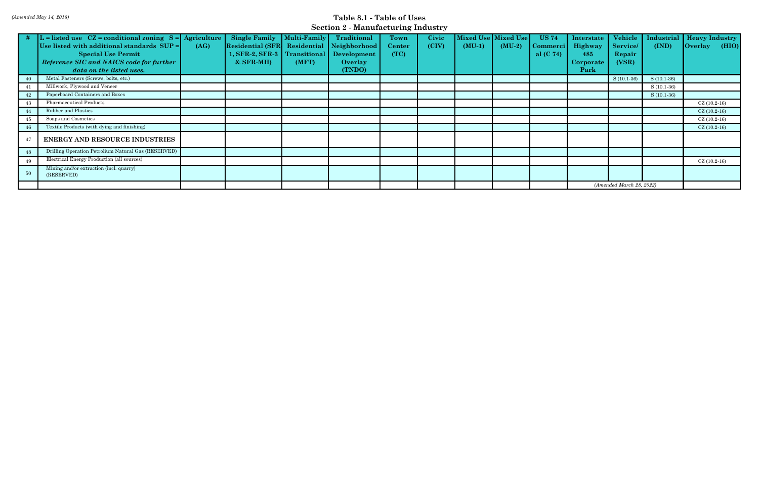#### *(Amended May 14, 2018)* **Table 8.1 - Table of Uses Section 2 - Manufacturing Industry**

|    | $\#$ L = listed use CZ = conditional zoning S = Agriculture |      | <b>Single Family</b>                      | $\blacksquare$ Multi-Family | Traditional    | Town    | Civic |          | Mixed Use Mixed Use | <b>US 74</b>    | Interstate               | Vehicle        |              | Industrial Heavy Industry     |
|----|-------------------------------------------------------------|------|-------------------------------------------|-----------------------------|----------------|---------|-------|----------|---------------------|-----------------|--------------------------|----------------|--------------|-------------------------------|
|    | Use listed with additional standards SUP =                  | (AG) | Residential (SFR Residential Neighborhood |                             |                | Center/ | (CIV) | $(MU-1)$ | $(MU-2)$            | <b>Commerci</b> | Highway                  | <b>Service</b> | (IND)        | $\sqrt{\frac{1}{1}}$<br>(HIO) |
|    | <b>Special Use Permit</b>                                   |      | 1, SFR-2, SFR-3                           | Transitional                | Development    | (TC)    |       |          |                     | al $(C 74)$     | 485                      | Repair         |              |                               |
|    | Reference SIC and NAICS code for further                    |      | $&$ SFR-MH $)$                            | (MFT)                       | <b>Overlay</b> |         |       |          |                     |                 | Corporate                | (VSR)          |              |                               |
|    | data on the listed uses.                                    |      |                                           |                             | (TNDO)         |         |       |          |                     |                 | Park                     |                |              |                               |
|    | Metal Fasteners (Screws, bolts, etc.)                       |      |                                           |                             |                |         |       |          |                     |                 |                          | $S(10.1-36)$   | $S(10.1-36)$ |                               |
|    | Millwork, Plywood and Veneer                                |      |                                           |                             |                |         |       |          |                     |                 |                          |                | $S(10.1-36)$ |                               |
|    | Paperboard Containers and Boxes                             |      |                                           |                             |                |         |       |          |                     |                 |                          |                | $S(10.1-36)$ |                               |
|    | Pharmaceutical Products                                     |      |                                           |                             |                |         |       |          |                     |                 |                          |                |              | $CZ(10.2-16)$                 |
|    | Rubber and Plastics                                         |      |                                           |                             |                |         |       |          |                     |                 |                          |                |              | $CZ(10.2-16)$                 |
| 45 | Soaps and Cosmetics                                         |      |                                           |                             |                |         |       |          |                     |                 |                          |                |              | $CZ(10.2-16)$                 |
|    | Textile Products (with dying and finishing)                 |      |                                           |                             |                |         |       |          |                     |                 |                          |                |              | $CZ(10.2-16)$                 |
|    | <b>ENERGY AND RESOURCE INDUSTRIES</b>                       |      |                                           |                             |                |         |       |          |                     |                 |                          |                |              |                               |
| 48 | Drilling Operation Petrolium Natural Gas (RESERVED)         |      |                                           |                             |                |         |       |          |                     |                 |                          |                |              |                               |
| 49 | Electrical Energy Production (all sources)                  |      |                                           |                             |                |         |       |          |                     |                 |                          |                |              | $CZ(10.2-16)$                 |
| 50 | Mining and/or extraction (incl. quarry)<br>(RESERVED)       |      |                                           |                             |                |         |       |          |                     |                 |                          |                |              |                               |
|    |                                                             |      |                                           |                             |                |         |       |          |                     |                 | (Amended March 28, 2022) |                |              |                               |